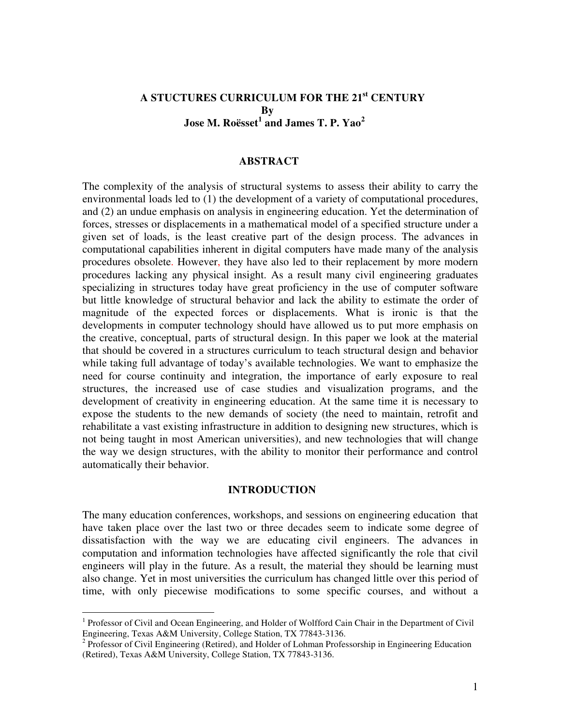# **A STUCTURES CURRICULUM FOR THE 21st CENTURY By Jose M. Roësset 1 and James T. P. Yao<sup>2</sup>**

#### **ABSTRACT**

The complexity of the analysis of structural systems to assess their ability to carry the environmental loads led to (1) the development of a variety of computational procedures, and (2) an undue emphasis on analysis in engineering education. Yet the determination of forces, stresses or displacements in a mathematical model of a specified structure under a given set of loads, is the least creative part of the design process. The advances in computational capabilities inherent in digital computers have made many of the analysis procedures obsolete. However, they have also led to their replacement by more modern procedures lacking any physical insight. As a result many civil engineering graduates specializing in structures today have great proficiency in the use of computer software but little knowledge of structural behavior and lack the ability to estimate the order of magnitude of the expected forces or displacements. What is ironic is that the developments in computer technology should have allowed us to put more emphasis on the creative, conceptual, parts of structural design. In this paper we look at the material that should be covered in a structures curriculum to teach structural design and behavior while taking full advantage of today's available technologies. We want to emphasize the need for course continuity and integration, the importance of early exposure to real structures, the increased use of case studies and visualization programs, and the development of creativity in engineering education. At the same time it is necessary to expose the students to the new demands of society (the need to maintain, retrofit and rehabilitate a vast existing infrastructure in addition to designing new structures, which is not being taught in most American universities), and new technologies that will change the way we design structures, with the ability to monitor their performance and control automatically their behavior.

#### **INTRODUCTION**

The many education conferences, workshops, and sessions on engineering education that have taken place over the last two or three decades seem to indicate some degree of dissatisfaction with the way we are educating civil engineers. The advances in computation and information technologies have affected significantly the role that civil engineers will play in the future. As a result, the material they should be learning must also change. Yet in most universities the curriculum has changed little over this period of time, with only piecewise modifications to some specific courses, and without a

-

<sup>&</sup>lt;sup>1</sup> Professor of Civil and Ocean Engineering, and Holder of Wolfford Cain Chair in the Department of Civil Engineering, Texas A&M University, College Station, TX 77843-3136.

<sup>&</sup>lt;sup>2</sup> Professor of Civil Engineering (Retired), and Holder of Lohman Professorship in Engineering Education (Retired), Texas A&M University, College Station, TX 77843-3136.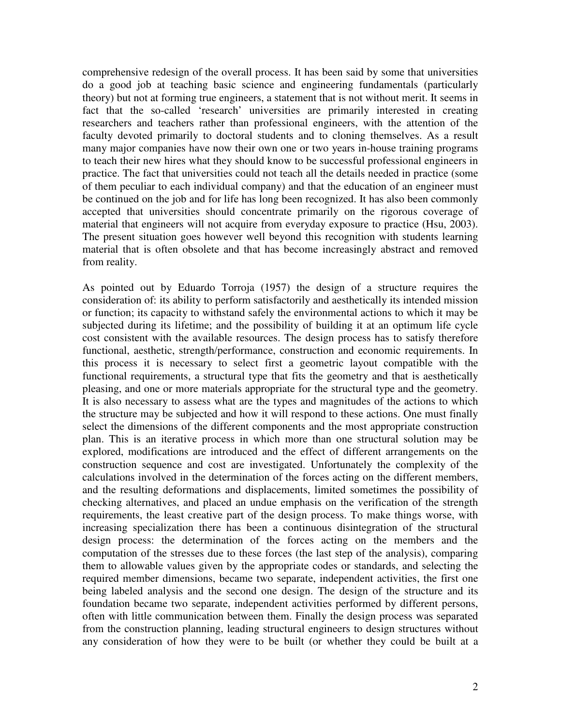comprehensive redesign of the overall process. It has been said by some that universities do a good job at teaching basic science and engineering fundamentals (particularly theory) but not at forming true engineers, a statement that is not without merit. It seems in fact that the so-called 'research' universities are primarily interested in creating researchers and teachers rather than professional engineers, with the attention of the faculty devoted primarily to doctoral students and to cloning themselves. As a result many major companies have now their own one or two years in-house training programs to teach their new hires what they should know to be successful professional engineers in practice. The fact that universities could not teach all the details needed in practice (some of them peculiar to each individual company) and that the education of an engineer must be continued on the job and for life has long been recognized. It has also been commonly accepted that universities should concentrate primarily on the rigorous coverage of material that engineers will not acquire from everyday exposure to practice (Hsu, 2003). The present situation goes however well beyond this recognition with students learning material that is often obsolete and that has become increasingly abstract and removed from reality.

As pointed out by Eduardo Torroja (1957) the design of a structure requires the consideration of: its ability to perform satisfactorily and aesthetically its intended mission or function; its capacity to withstand safely the environmental actions to which it may be subjected during its lifetime; and the possibility of building it at an optimum life cycle cost consistent with the available resources. The design process has to satisfy therefore functional, aesthetic, strength/performance, construction and economic requirements. In this process it is necessary to select first a geometric layout compatible with the functional requirements, a structural type that fits the geometry and that is aesthetically pleasing, and one or more materials appropriate for the structural type and the geometry. It is also necessary to assess what are the types and magnitudes of the actions to which the structure may be subjected and how it will respond to these actions. One must finally select the dimensions of the different components and the most appropriate construction plan. This is an iterative process in which more than one structural solution may be explored, modifications are introduced and the effect of different arrangements on the construction sequence and cost are investigated. Unfortunately the complexity of the calculations involved in the determination of the forces acting on the different members, and the resulting deformations and displacements, limited sometimes the possibility of checking alternatives, and placed an undue emphasis on the verification of the strength requirements, the least creative part of the design process. To make things worse, with increasing specialization there has been a continuous disintegration of the structural design process: the determination of the forces acting on the members and the computation of the stresses due to these forces (the last step of the analysis), comparing them to allowable values given by the appropriate codes or standards, and selecting the required member dimensions, became two separate, independent activities, the first one being labeled analysis and the second one design. The design of the structure and its foundation became two separate, independent activities performed by different persons, often with little communication between them. Finally the design process was separated from the construction planning, leading structural engineers to design structures without any consideration of how they were to be built (or whether they could be built at a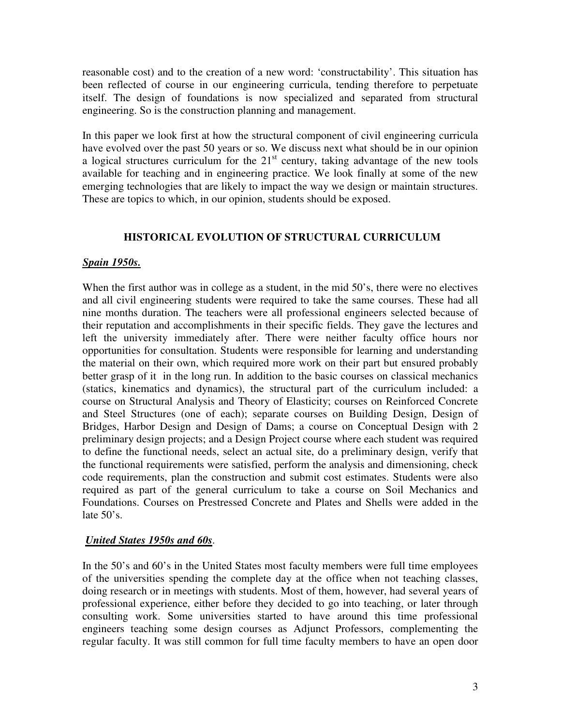reasonable cost) and to the creation of a new word: 'constructability'. This situation has been reflected of course in our engineering curricula, tending therefore to perpetuate itself. The design of foundations is now specialized and separated from structural engineering. So is the construction planning and management.

In this paper we look first at how the structural component of civil engineering curricula have evolved over the past 50 years or so. We discuss next what should be in our opinion a logical structures curriculum for the  $21<sup>st</sup>$  century, taking advantage of the new tools available for teaching and in engineering practice. We look finally at some of the new emerging technologies that are likely to impact the way we design or maintain structures. These are topics to which, in our opinion, students should be exposed.

# **HISTORICAL EVOLUTION OF STRUCTURAL CURRICULUM**

## *Spain 1950s.*

When the first author was in college as a student, in the mid 50's, there were no electives and all civil engineering students were required to take the same courses. These had all nine months duration. The teachers were all professional engineers selected because of their reputation and accomplishments in their specific fields. They gave the lectures and left the university immediately after. There were neither faculty office hours nor opportunities for consultation. Students were responsible for learning and understanding the material on their own, which required more work on their part but ensured probably better grasp of it in the long run. In addition to the basic courses on classical mechanics (statics, kinematics and dynamics), the structural part of the curriculum included: a course on Structural Analysis and Theory of Elasticity; courses on Reinforced Concrete and Steel Structures (one of each); separate courses on Building Design, Design of Bridges, Harbor Design and Design of Dams; a course on Conceptual Design with 2 preliminary design projects; and a Design Project course where each student was required to define the functional needs, select an actual site, do a preliminary design, verify that the functional requirements were satisfied, perform the analysis and dimensioning, check code requirements, plan the construction and submit cost estimates. Students were also required as part of the general curriculum to take a course on Soil Mechanics and Foundations. Courses on Prestressed Concrete and Plates and Shells were added in the late  $50$ 's.

# *United States 1950s and 60s*.

In the 50's and 60's in the United States most faculty members were full time employees of the universities spending the complete day at the office when not teaching classes, doing research or in meetings with students. Most of them, however, had several years of professional experience, either before they decided to go into teaching, or later through consulting work. Some universities started to have around this time professional engineers teaching some design courses as Adjunct Professors, complementing the regular faculty. It was still common for full time faculty members to have an open door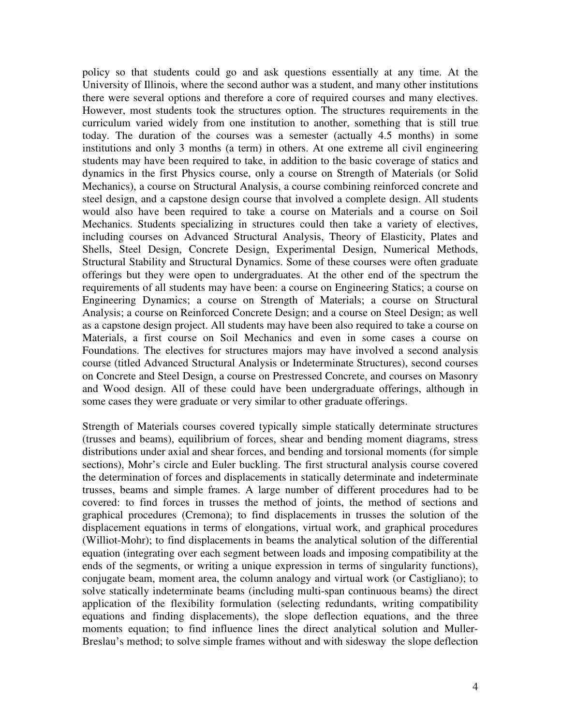policy so that students could go and ask questions essentially at any time. At the University of Illinois, where the second author was a student, and many other institutions there were several options and therefore a core of required courses and many electives. However, most students took the structures option. The structures requirements in the curriculum varied widely from one institution to another, something that is still true today. The duration of the courses was a semester (actually 4.5 months) in some institutions and only 3 months (a term) in others. At one extreme all civil engineering students may have been required to take, in addition to the basic coverage of statics and dynamics in the first Physics course, only a course on Strength of Materials (or Solid Mechanics), a course on Structural Analysis, a course combining reinforced concrete and steel design, and a capstone design course that involved a complete design. All students would also have been required to take a course on Materials and a course on Soil Mechanics. Students specializing in structures could then take a variety of electives, including courses on Advanced Structural Analysis, Theory of Elasticity, Plates and Shells, Steel Design, Concrete Design, Experimental Design, Numerical Methods, Structural Stability and Structural Dynamics. Some of these courses were often graduate offerings but they were open to undergraduates. At the other end of the spectrum the requirements of all students may have been: a course on Engineering Statics; a course on Engineering Dynamics; a course on Strength of Materials; a course on Structural Analysis; a course on Reinforced Concrete Design; and a course on Steel Design; as well as a capstone design project. All students may have been also required to take a course on Materials, a first course on Soil Mechanics and even in some cases a course on Foundations. The electives for structures majors may have involved a second analysis course (titled Advanced Structural Analysis or Indeterminate Structures), second courses on Concrete and Steel Design, a course on Prestressed Concrete, and courses on Masonry and Wood design. All of these could have been undergraduate offerings, although in some cases they were graduate or very similar to other graduate offerings.

Strength of Materials courses covered typically simple statically determinate structures (trusses and beams), equilibrium of forces, shear and bending moment diagrams, stress distributions under axial and shear forces, and bending and torsional moments (for simple sections), Mohr's circle and Euler buckling. The first structural analysis course covered the determination of forces and displacements in statically determinate and indeterminate trusses, beams and simple frames. A large number of different procedures had to be covered: to find forces in trusses the method of joints, the method of sections and graphical procedures (Cremona); to find displacements in trusses the solution of the displacement equations in terms of elongations, virtual work, and graphical procedures (Williot-Mohr); to find displacements in beams the analytical solution of the differential equation (integrating over each segment between loads and imposing compatibility at the ends of the segments, or writing a unique expression in terms of singularity functions), conjugate beam, moment area, the column analogy and virtual work (or Castigliano); to solve statically indeterminate beams (including multi-span continuous beams) the direct application of the flexibility formulation (selecting redundants, writing compatibility equations and finding displacements), the slope deflection equations, and the three moments equation; to find influence lines the direct analytical solution and Muller-Breslau's method; to solve simple frames without and with sidesway the slope deflection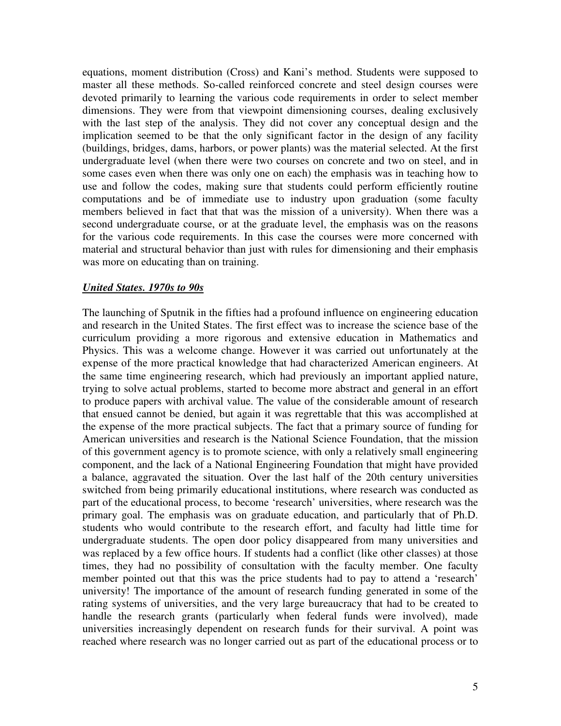equations, moment distribution (Cross) and Kani's method. Students were supposed to master all these methods. So-called reinforced concrete and steel design courses were devoted primarily to learning the various code requirements in order to select member dimensions. They were from that viewpoint dimensioning courses, dealing exclusively with the last step of the analysis. They did not cover any conceptual design and the implication seemed to be that the only significant factor in the design of any facility (buildings, bridges, dams, harbors, or power plants) was the material selected. At the first undergraduate level (when there were two courses on concrete and two on steel, and in some cases even when there was only one on each) the emphasis was in teaching how to use and follow the codes, making sure that students could perform efficiently routine computations and be of immediate use to industry upon graduation (some faculty members believed in fact that that was the mission of a university). When there was a second undergraduate course, or at the graduate level, the emphasis was on the reasons for the various code requirements. In this case the courses were more concerned with material and structural behavior than just with rules for dimensioning and their emphasis was more on educating than on training.

### *United States. 1970s to 90s*

The launching of Sputnik in the fifties had a profound influence on engineering education and research in the United States. The first effect was to increase the science base of the curriculum providing a more rigorous and extensive education in Mathematics and Physics. This was a welcome change. However it was carried out unfortunately at the expense of the more practical knowledge that had characterized American engineers. At the same time engineering research, which had previously an important applied nature, trying to solve actual problems, started to become more abstract and general in an effort to produce papers with archival value. The value of the considerable amount of research that ensued cannot be denied, but again it was regrettable that this was accomplished at the expense of the more practical subjects. The fact that a primary source of funding for American universities and research is the National Science Foundation, that the mission of this government agency is to promote science, with only a relatively small engineering component, and the lack of a National Engineering Foundation that might have provided a balance, aggravated the situation. Over the last half of the 20th century universities switched from being primarily educational institutions, where research was conducted as part of the educational process, to become 'research' universities, where research was the primary goal. The emphasis was on graduate education, and particularly that of Ph.D. students who would contribute to the research effort, and faculty had little time for undergraduate students. The open door policy disappeared from many universities and was replaced by a few office hours. If students had a conflict (like other classes) at those times, they had no possibility of consultation with the faculty member. One faculty member pointed out that this was the price students had to pay to attend a 'research' university! The importance of the amount of research funding generated in some of the rating systems of universities, and the very large bureaucracy that had to be created to handle the research grants (particularly when federal funds were involved), made universities increasingly dependent on research funds for their survival. A point was reached where research was no longer carried out as part of the educational process or to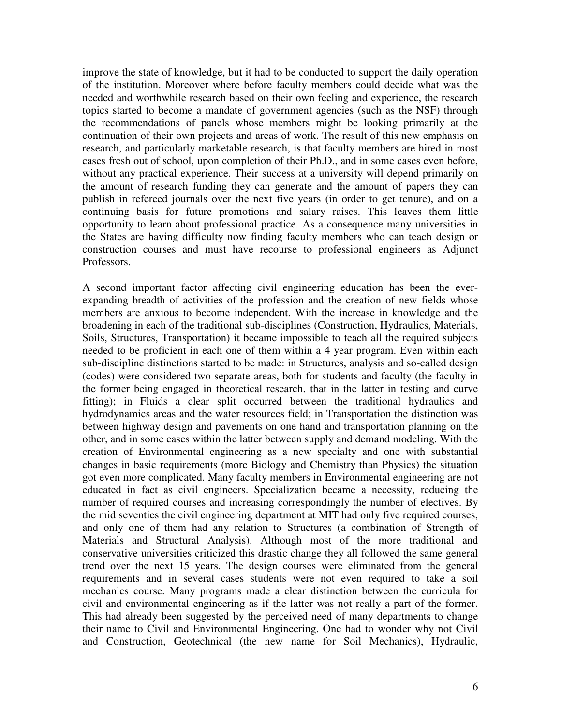improve the state of knowledge, but it had to be conducted to support the daily operation of the institution. Moreover where before faculty members could decide what was the needed and worthwhile research based on their own feeling and experience, the research topics started to become a mandate of government agencies (such as the NSF) through the recommendations of panels whose members might be looking primarily at the continuation of their own projects and areas of work. The result of this new emphasis on research, and particularly marketable research, is that faculty members are hired in most cases fresh out of school, upon completion of their Ph.D., and in some cases even before, without any practical experience. Their success at a university will depend primarily on the amount of research funding they can generate and the amount of papers they can publish in refereed journals over the next five years (in order to get tenure), and on a continuing basis for future promotions and salary raises. This leaves them little opportunity to learn about professional practice. As a consequence many universities in the States are having difficulty now finding faculty members who can teach design or construction courses and must have recourse to professional engineers as Adjunct Professors.

A second important factor affecting civil engineering education has been the everexpanding breadth of activities of the profession and the creation of new fields whose members are anxious to become independent. With the increase in knowledge and the broadening in each of the traditional sub-disciplines (Construction, Hydraulics, Materials, Soils, Structures, Transportation) it became impossible to teach all the required subjects needed to be proficient in each one of them within a 4 year program. Even within each sub-discipline distinctions started to be made: in Structures, analysis and so-called design (codes) were considered two separate areas, both for students and faculty (the faculty in the former being engaged in theoretical research, that in the latter in testing and curve fitting); in Fluids a clear split occurred between the traditional hydraulics and hydrodynamics areas and the water resources field; in Transportation the distinction was between highway design and pavements on one hand and transportation planning on the other, and in some cases within the latter between supply and demand modeling. With the creation of Environmental engineering as a new specialty and one with substantial changes in basic requirements (more Biology and Chemistry than Physics) the situation got even more complicated. Many faculty members in Environmental engineering are not educated in fact as civil engineers. Specialization became a necessity, reducing the number of required courses and increasing correspondingly the number of electives. By the mid seventies the civil engineering department at MIT had only five required courses, and only one of them had any relation to Structures (a combination of Strength of Materials and Structural Analysis). Although most of the more traditional and conservative universities criticized this drastic change they all followed the same general trend over the next 15 years. The design courses were eliminated from the general requirements and in several cases students were not even required to take a soil mechanics course. Many programs made a clear distinction between the curricula for civil and environmental engineering as if the latter was not really a part of the former. This had already been suggested by the perceived need of many departments to change their name to Civil and Environmental Engineering. One had to wonder why not Civil and Construction, Geotechnical (the new name for Soil Mechanics), Hydraulic,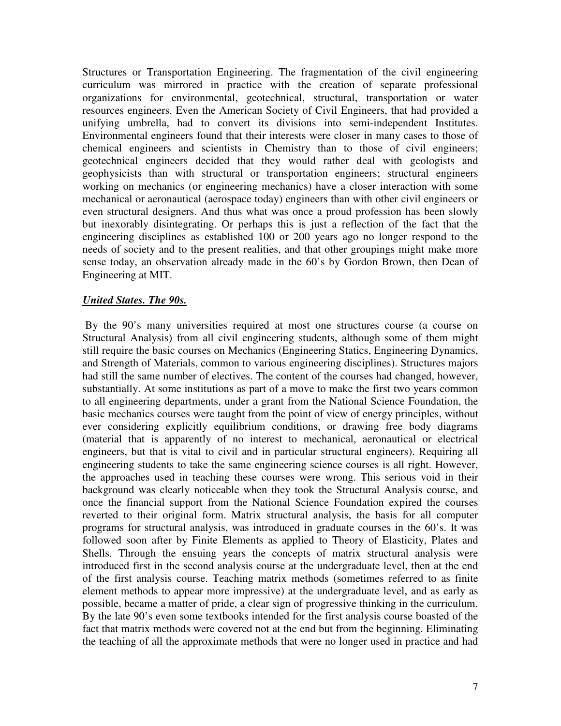Structures or Transportation Engineering. The fragmentation of the civil engineering curriculum was mirrored in practice with the creation of separate professional organizations for environmental, geotechnical, structural, transportation or water resources engineers. Even the American Society of Civil Engineers, that had provided a unifying umbrella, had to convert its divisions into semi-independent Institutes. Environmental engineers found that their interests were closer in many cases to those of chemical engineers and scientists in Chemistry than to those of civil engineers; geotechnical engineers decided that they would rather deal with geologists and geophysicists than with structural or transportation engineers; structural engineers working on mechanics (or engineering mechanics) have a closer interaction with some mechanical or aeronautical (aerospace today) engineers than with other civil engineers or even structural designers. And thus what was once a proud profession has been slowly but inexorably disintegrating. Or perhaps this is just a reflection of the fact that the engineering disciplines as established 100 or 200 years ago no longer respond to the needs of society and to the present realities, and that other groupings might make more sense today, an observation already made in the 60's by Gordon Brown, then Dean of Engineering at MIT.

### *United States. The 90s.*

 By the 90's many universities required at most one structures course (a course on Structural Analysis) from all civil engineering students, although some of them might still require the basic courses on Mechanics (Engineering Statics, Engineering Dynamics, and Strength of Materials, common to various engineering disciplines). Structures majors had still the same number of electives. The content of the courses had changed, however, substantially. At some institutions as part of a move to make the first two years common to all engineering departments, under a grant from the National Science Foundation, the basic mechanics courses were taught from the point of view of energy principles, without ever considering explicitly equilibrium conditions, or drawing free body diagrams (material that is apparently of no interest to mechanical, aeronautical or electrical engineers, but that is vital to civil and in particular structural engineers). Requiring all engineering students to take the same engineering science courses is all right. However, the approaches used in teaching these courses were wrong. This serious void in their background was clearly noticeable when they took the Structural Analysis course, and once the financial support from the National Science Foundation expired the courses reverted to their original form. Matrix structural analysis, the basis for all computer programs for structural analysis, was introduced in graduate courses in the 60's. It was followed soon after by Finite Elements as applied to Theory of Elasticity, Plates and Shells. Through the ensuing years the concepts of matrix structural analysis were introduced first in the second analysis course at the undergraduate level, then at the end of the first analysis course. Teaching matrix methods (sometimes referred to as finite element methods to appear more impressive) at the undergraduate level, and as early as possible, became a matter of pride, a clear sign of progressive thinking in the curriculum. By the late 90's even some textbooks intended for the first analysis course boasted of the fact that matrix methods were covered not at the end but from the beginning. Eliminating the teaching of all the approximate methods that were no longer used in practice and had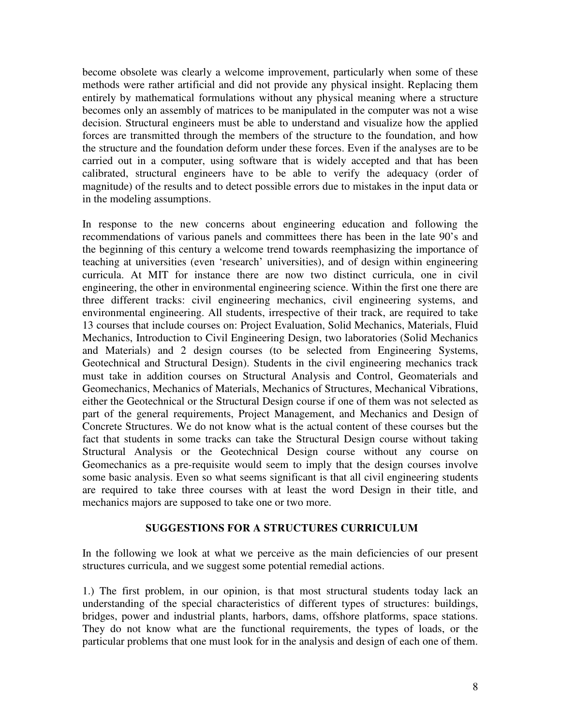become obsolete was clearly a welcome improvement, particularly when some of these methods were rather artificial and did not provide any physical insight. Replacing them entirely by mathematical formulations without any physical meaning where a structure becomes only an assembly of matrices to be manipulated in the computer was not a wise decision. Structural engineers must be able to understand and visualize how the applied forces are transmitted through the members of the structure to the foundation, and how the structure and the foundation deform under these forces. Even if the analyses are to be carried out in a computer, using software that is widely accepted and that has been calibrated, structural engineers have to be able to verify the adequacy (order of magnitude) of the results and to detect possible errors due to mistakes in the input data or in the modeling assumptions.

In response to the new concerns about engineering education and following the recommendations of various panels and committees there has been in the late 90's and the beginning of this century a welcome trend towards reemphasizing the importance of teaching at universities (even 'research' universities), and of design within engineering curricula. At MIT for instance there are now two distinct curricula, one in civil engineering, the other in environmental engineering science. Within the first one there are three different tracks: civil engineering mechanics, civil engineering systems, and environmental engineering. All students, irrespective of their track, are required to take 13 courses that include courses on: Project Evaluation, Solid Mechanics, Materials, Fluid Mechanics, Introduction to Civil Engineering Design, two laboratories (Solid Mechanics and Materials) and 2 design courses (to be selected from Engineering Systems, Geotechnical and Structural Design). Students in the civil engineering mechanics track must take in addition courses on Structural Analysis and Control, Geomaterials and Geomechanics, Mechanics of Materials, Mechanics of Structures, Mechanical Vibrations, either the Geotechnical or the Structural Design course if one of them was not selected as part of the general requirements, Project Management, and Mechanics and Design of Concrete Structures. We do not know what is the actual content of these courses but the fact that students in some tracks can take the Structural Design course without taking Structural Analysis or the Geotechnical Design course without any course on Geomechanics as a pre-requisite would seem to imply that the design courses involve some basic analysis. Even so what seems significant is that all civil engineering students are required to take three courses with at least the word Design in their title, and mechanics majors are supposed to take one or two more.

### **SUGGESTIONS FOR A STRUCTURES CURRICULUM**

In the following we look at what we perceive as the main deficiencies of our present structures curricula, and we suggest some potential remedial actions.

1.) The first problem, in our opinion, is that most structural students today lack an understanding of the special characteristics of different types of structures: buildings, bridges, power and industrial plants, harbors, dams, offshore platforms, space stations. They do not know what are the functional requirements, the types of loads, or the particular problems that one must look for in the analysis and design of each one of them.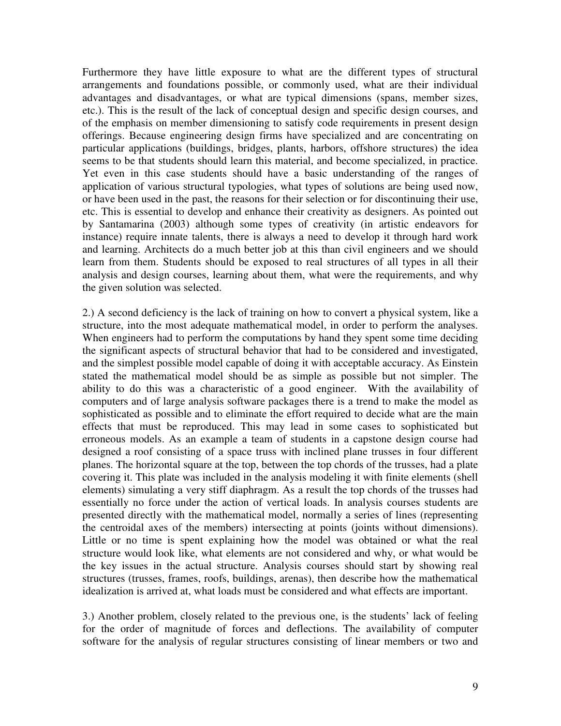Furthermore they have little exposure to what are the different types of structural arrangements and foundations possible, or commonly used, what are their individual advantages and disadvantages, or what are typical dimensions (spans, member sizes, etc.). This is the result of the lack of conceptual design and specific design courses, and of the emphasis on member dimensioning to satisfy code requirements in present design offerings. Because engineering design firms have specialized and are concentrating on particular applications (buildings, bridges, plants, harbors, offshore structures) the idea seems to be that students should learn this material, and become specialized, in practice. Yet even in this case students should have a basic understanding of the ranges of application of various structural typologies, what types of solutions are being used now, or have been used in the past, the reasons for their selection or for discontinuing their use, etc. This is essential to develop and enhance their creativity as designers. As pointed out by Santamarina (2003) although some types of creativity (in artistic endeavors for instance) require innate talents, there is always a need to develop it through hard work and learning. Architects do a much better job at this than civil engineers and we should learn from them. Students should be exposed to real structures of all types in all their analysis and design courses, learning about them, what were the requirements, and why the given solution was selected.

2.) A second deficiency is the lack of training on how to convert a physical system, like a structure, into the most adequate mathematical model, in order to perform the analyses. When engineers had to perform the computations by hand they spent some time deciding the significant aspects of structural behavior that had to be considered and investigated, and the simplest possible model capable of doing it with acceptable accuracy. As Einstein stated the mathematical model should be as simple as possible but not simpler. The ability to do this was a characteristic of a good engineer. With the availability of computers and of large analysis software packages there is a trend to make the model as sophisticated as possible and to eliminate the effort required to decide what are the main effects that must be reproduced. This may lead in some cases to sophisticated but erroneous models. As an example a team of students in a capstone design course had designed a roof consisting of a space truss with inclined plane trusses in four different planes. The horizontal square at the top, between the top chords of the trusses, had a plate covering it. This plate was included in the analysis modeling it with finite elements (shell elements) simulating a very stiff diaphragm. As a result the top chords of the trusses had essentially no force under the action of vertical loads. In analysis courses students are presented directly with the mathematical model, normally a series of lines (representing the centroidal axes of the members) intersecting at points (joints without dimensions). Little or no time is spent explaining how the model was obtained or what the real structure would look like, what elements are not considered and why, or what would be the key issues in the actual structure. Analysis courses should start by showing real structures (trusses, frames, roofs, buildings, arenas), then describe how the mathematical idealization is arrived at, what loads must be considered and what effects are important.

3.) Another problem, closely related to the previous one, is the students' lack of feeling for the order of magnitude of forces and deflections. The availability of computer software for the analysis of regular structures consisting of linear members or two and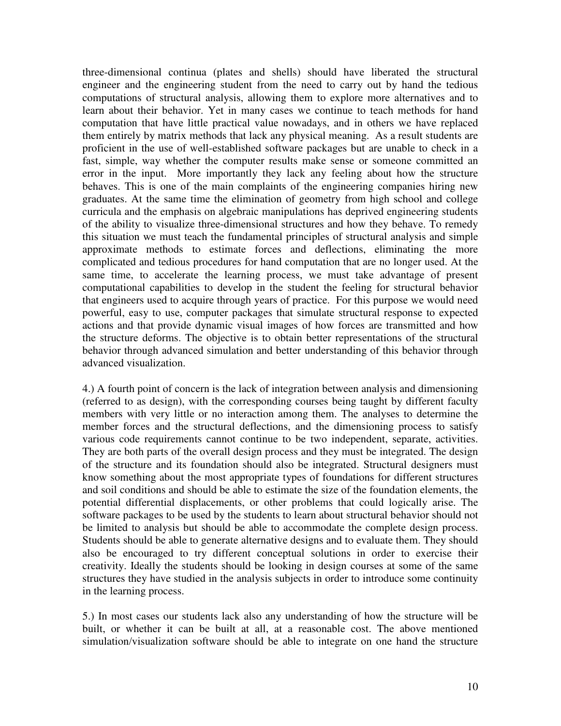three-dimensional continua (plates and shells) should have liberated the structural engineer and the engineering student from the need to carry out by hand the tedious computations of structural analysis, allowing them to explore more alternatives and to learn about their behavior. Yet in many cases we continue to teach methods for hand computation that have little practical value nowadays, and in others we have replaced them entirely by matrix methods that lack any physical meaning. As a result students are proficient in the use of well-established software packages but are unable to check in a fast, simple, way whether the computer results make sense or someone committed an error in the input. More importantly they lack any feeling about how the structure behaves. This is one of the main complaints of the engineering companies hiring new graduates. At the same time the elimination of geometry from high school and college curricula and the emphasis on algebraic manipulations has deprived engineering students of the ability to visualize three-dimensional structures and how they behave. To remedy this situation we must teach the fundamental principles of structural analysis and simple approximate methods to estimate forces and deflections, eliminating the more complicated and tedious procedures for hand computation that are no longer used. At the same time, to accelerate the learning process, we must take advantage of present computational capabilities to develop in the student the feeling for structural behavior that engineers used to acquire through years of practice. For this purpose we would need powerful, easy to use, computer packages that simulate structural response to expected actions and that provide dynamic visual images of how forces are transmitted and how the structure deforms. The objective is to obtain better representations of the structural behavior through advanced simulation and better understanding of this behavior through advanced visualization.

4.) A fourth point of concern is the lack of integration between analysis and dimensioning (referred to as design), with the corresponding courses being taught by different faculty members with very little or no interaction among them. The analyses to determine the member forces and the structural deflections, and the dimensioning process to satisfy various code requirements cannot continue to be two independent, separate, activities. They are both parts of the overall design process and they must be integrated. The design of the structure and its foundation should also be integrated. Structural designers must know something about the most appropriate types of foundations for different structures and soil conditions and should be able to estimate the size of the foundation elements, the potential differential displacements, or other problems that could logically arise. The software packages to be used by the students to learn about structural behavior should not be limited to analysis but should be able to accommodate the complete design process. Students should be able to generate alternative designs and to evaluate them. They should also be encouraged to try different conceptual solutions in order to exercise their creativity. Ideally the students should be looking in design courses at some of the same structures they have studied in the analysis subjects in order to introduce some continuity in the learning process.

5.) In most cases our students lack also any understanding of how the structure will be built, or whether it can be built at all, at a reasonable cost. The above mentioned simulation/visualization software should be able to integrate on one hand the structure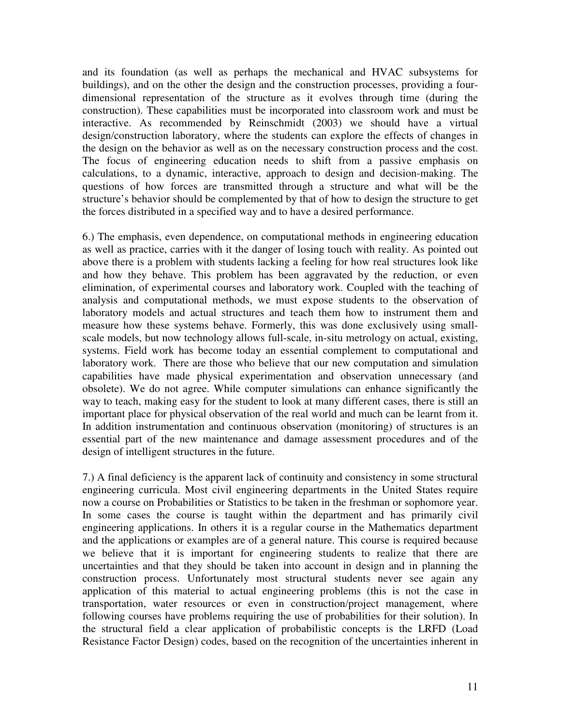and its foundation (as well as perhaps the mechanical and HVAC subsystems for buildings), and on the other the design and the construction processes, providing a fourdimensional representation of the structure as it evolves through time (during the construction). These capabilities must be incorporated into classroom work and must be interactive. As recommended by Reinschmidt (2003) we should have a virtual design/construction laboratory, where the students can explore the effects of changes in the design on the behavior as well as on the necessary construction process and the cost. The focus of engineering education needs to shift from a passive emphasis on calculations, to a dynamic, interactive, approach to design and decision-making. The questions of how forces are transmitted through a structure and what will be the structure's behavior should be complemented by that of how to design the structure to get the forces distributed in a specified way and to have a desired performance.

6.) The emphasis, even dependence, on computational methods in engineering education as well as practice, carries with it the danger of losing touch with reality. As pointed out above there is a problem with students lacking a feeling for how real structures look like and how they behave. This problem has been aggravated by the reduction, or even elimination, of experimental courses and laboratory work. Coupled with the teaching of analysis and computational methods, we must expose students to the observation of laboratory models and actual structures and teach them how to instrument them and measure how these systems behave. Formerly, this was done exclusively using smallscale models, but now technology allows full-scale, in-situ metrology on actual, existing, systems. Field work has become today an essential complement to computational and laboratory work. There are those who believe that our new computation and simulation capabilities have made physical experimentation and observation unnecessary (and obsolete). We do not agree. While computer simulations can enhance significantly the way to teach, making easy for the student to look at many different cases, there is still an important place for physical observation of the real world and much can be learnt from it. In addition instrumentation and continuous observation (monitoring) of structures is an essential part of the new maintenance and damage assessment procedures and of the design of intelligent structures in the future.

7.) A final deficiency is the apparent lack of continuity and consistency in some structural engineering curricula. Most civil engineering departments in the United States require now a course on Probabilities or Statistics to be taken in the freshman or sophomore year. In some cases the course is taught within the department and has primarily civil engineering applications. In others it is a regular course in the Mathematics department and the applications or examples are of a general nature. This course is required because we believe that it is important for engineering students to realize that there are uncertainties and that they should be taken into account in design and in planning the construction process. Unfortunately most structural students never see again any application of this material to actual engineering problems (this is not the case in transportation, water resources or even in construction/project management, where following courses have problems requiring the use of probabilities for their solution). In the structural field a clear application of probabilistic concepts is the LRFD (Load Resistance Factor Design) codes, based on the recognition of the uncertainties inherent in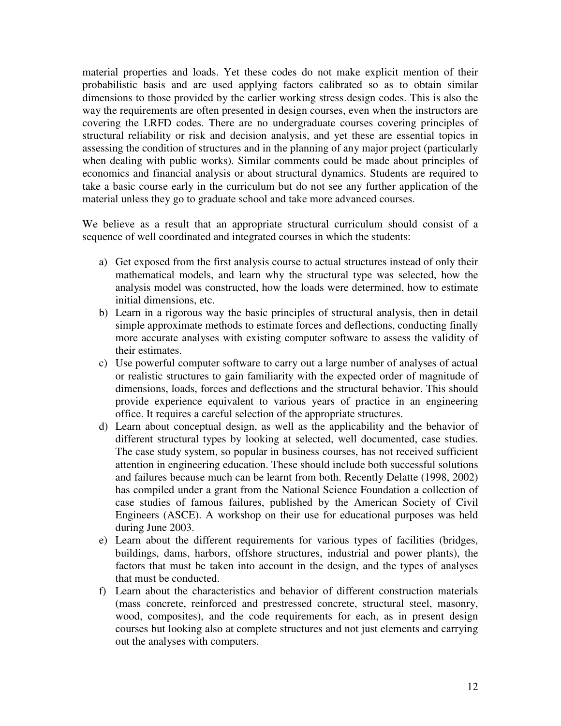material properties and loads. Yet these codes do not make explicit mention of their probabilistic basis and are used applying factors calibrated so as to obtain similar dimensions to those provided by the earlier working stress design codes. This is also the way the requirements are often presented in design courses, even when the instructors are covering the LRFD codes. There are no undergraduate courses covering principles of structural reliability or risk and decision analysis, and yet these are essential topics in assessing the condition of structures and in the planning of any major project (particularly when dealing with public works). Similar comments could be made about principles of economics and financial analysis or about structural dynamics. Students are required to take a basic course early in the curriculum but do not see any further application of the material unless they go to graduate school and take more advanced courses.

We believe as a result that an appropriate structural curriculum should consist of a sequence of well coordinated and integrated courses in which the students:

- a) Get exposed from the first analysis course to actual structures instead of only their mathematical models, and learn why the structural type was selected, how the analysis model was constructed, how the loads were determined, how to estimate initial dimensions, etc.
- b) Learn in a rigorous way the basic principles of structural analysis, then in detail simple approximate methods to estimate forces and deflections, conducting finally more accurate analyses with existing computer software to assess the validity of their estimates.
- c) Use powerful computer software to carry out a large number of analyses of actual or realistic structures to gain familiarity with the expected order of magnitude of dimensions, loads, forces and deflections and the structural behavior. This should provide experience equivalent to various years of practice in an engineering office. It requires a careful selection of the appropriate structures.
- d) Learn about conceptual design, as well as the applicability and the behavior of different structural types by looking at selected, well documented, case studies. The case study system, so popular in business courses, has not received sufficient attention in engineering education. These should include both successful solutions and failures because much can be learnt from both. Recently Delatte (1998, 2002) has compiled under a grant from the National Science Foundation a collection of case studies of famous failures, published by the American Society of Civil Engineers (ASCE). A workshop on their use for educational purposes was held during June 2003.
- e) Learn about the different requirements for various types of facilities (bridges, buildings, dams, harbors, offshore structures, industrial and power plants), the factors that must be taken into account in the design, and the types of analyses that must be conducted.
- f) Learn about the characteristics and behavior of different construction materials (mass concrete, reinforced and prestressed concrete, structural steel, masonry, wood, composites), and the code requirements for each, as in present design courses but looking also at complete structures and not just elements and carrying out the analyses with computers.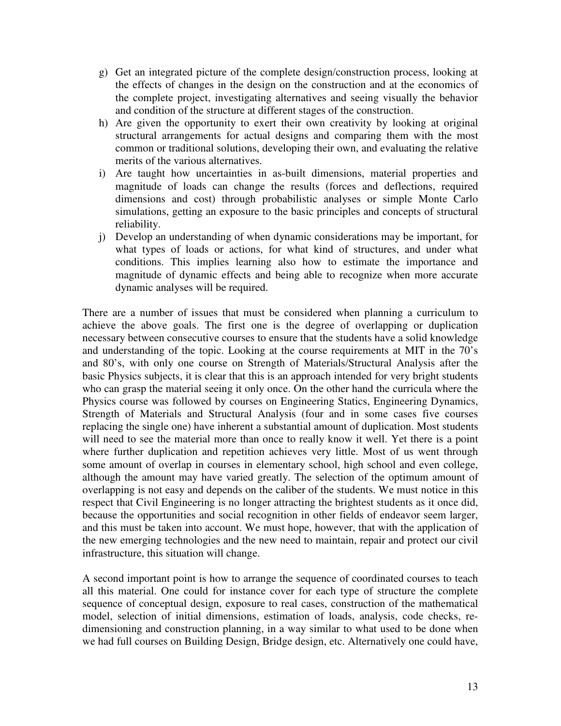- g) Get an integrated picture of the complete design/construction process, looking at the effects of changes in the design on the construction and at the economics of the complete project, investigating alternatives and seeing visually the behavior and condition of the structure at different stages of the construction.
- h) Are given the opportunity to exert their own creativity by looking at original structural arrangements for actual designs and comparing them with the most common or traditional solutions, developing their own, and evaluating the relative merits of the various alternatives.
- i) Are taught how uncertainties in as-built dimensions, material properties and magnitude of loads can change the results (forces and deflections, required dimensions and cost) through probabilistic analyses or simple Monte Carlo simulations, getting an exposure to the basic principles and concepts of structural reliability.
- j) Develop an understanding of when dynamic considerations may be important, for what types of loads or actions, for what kind of structures, and under what conditions. This implies learning also how to estimate the importance and magnitude of dynamic effects and being able to recognize when more accurate dynamic analyses will be required.

There are a number of issues that must be considered when planning a curriculum to achieve the above goals. The first one is the degree of overlapping or duplication necessary between consecutive courses to ensure that the students have a solid knowledge and understanding of the topic. Looking at the course requirements at MIT in the 70's and 80's, with only one course on Strength of Materials/Structural Analysis after the basic Physics subjects, it is clear that this is an approach intended for very bright students who can grasp the material seeing it only once. On the other hand the curricula where the Physics course was followed by courses on Engineering Statics, Engineering Dynamics, Strength of Materials and Structural Analysis (four and in some cases five courses replacing the single one) have inherent a substantial amount of duplication. Most students will need to see the material more than once to really know it well. Yet there is a point where further duplication and repetition achieves very little. Most of us went through some amount of overlap in courses in elementary school, high school and even college, although the amount may have varied greatly. The selection of the optimum amount of overlapping is not easy and depends on the caliber of the students. We must notice in this respect that Civil Engineering is no longer attracting the brightest students as it once did, because the opportunities and social recognition in other fields of endeavor seem larger, and this must be taken into account. We must hope, however, that with the application of the new emerging technologies and the new need to maintain, repair and protect our civil infrastructure, this situation will change.

A second important point is how to arrange the sequence of coordinated courses to teach all this material. One could for instance cover for each type of structure the complete sequence of conceptual design, exposure to real cases, construction of the mathematical model, selection of initial dimensions, estimation of loads, analysis, code checks, redimensioning and construction planning, in a way similar to what used to be done when we had full courses on Building Design, Bridge design, etc. Alternatively one could have,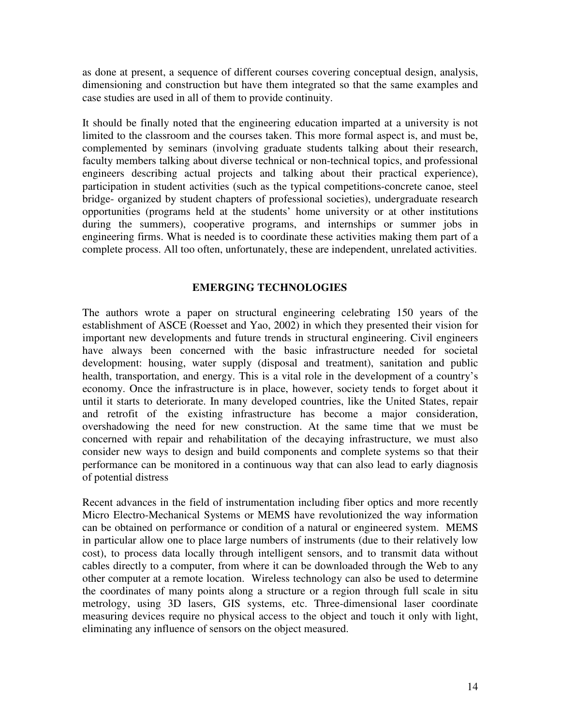as done at present, a sequence of different courses covering conceptual design, analysis, dimensioning and construction but have them integrated so that the same examples and case studies are used in all of them to provide continuity.

It should be finally noted that the engineering education imparted at a university is not limited to the classroom and the courses taken. This more formal aspect is, and must be, complemented by seminars (involving graduate students talking about their research, faculty members talking about diverse technical or non-technical topics, and professional engineers describing actual projects and talking about their practical experience), participation in student activities (such as the typical competitions-concrete canoe, steel bridge- organized by student chapters of professional societies), undergraduate research opportunities (programs held at the students' home university or at other institutions during the summers), cooperative programs, and internships or summer jobs in engineering firms. What is needed is to coordinate these activities making them part of a complete process. All too often, unfortunately, these are independent, unrelated activities.

## **EMERGING TECHNOLOGIES**

The authors wrote a paper on structural engineering celebrating 150 years of the establishment of ASCE (Roesset and Yao, 2002) in which they presented their vision for important new developments and future trends in structural engineering. Civil engineers have always been concerned with the basic infrastructure needed for societal development: housing, water supply (disposal and treatment), sanitation and public health, transportation, and energy. This is a vital role in the development of a country's economy. Once the infrastructure is in place, however, society tends to forget about it until it starts to deteriorate. In many developed countries, like the United States, repair and retrofit of the existing infrastructure has become a major consideration, overshadowing the need for new construction. At the same time that we must be concerned with repair and rehabilitation of the decaying infrastructure, we must also consider new ways to design and build components and complete systems so that their performance can be monitored in a continuous way that can also lead to early diagnosis of potential distress

Recent advances in the field of instrumentation including fiber optics and more recently Micro Electro-Mechanical Systems or MEMS have revolutionized the way information can be obtained on performance or condition of a natural or engineered system. MEMS in particular allow one to place large numbers of instruments (due to their relatively low cost), to process data locally through intelligent sensors, and to transmit data without cables directly to a computer, from where it can be downloaded through the Web to any other computer at a remote location. Wireless technology can also be used to determine the coordinates of many points along a structure or a region through full scale in situ metrology, using 3D lasers, GIS systems, etc. Three-dimensional laser coordinate measuring devices require no physical access to the object and touch it only with light, eliminating any influence of sensors on the object measured.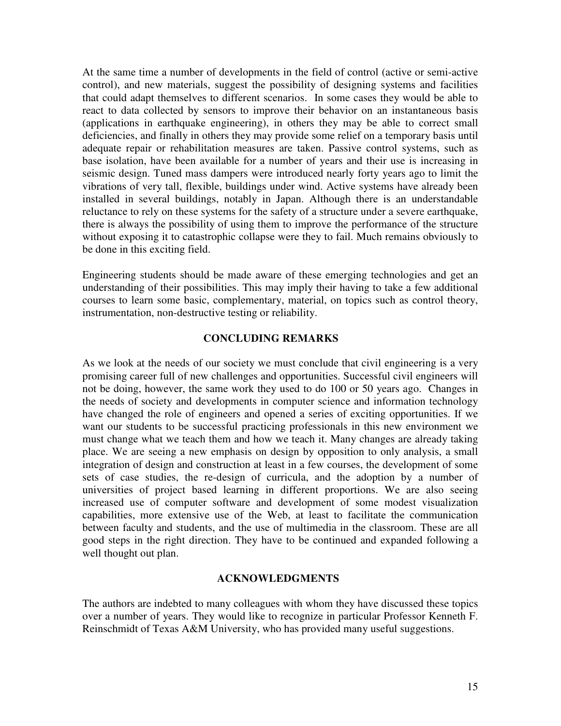At the same time a number of developments in the field of control (active or semi-active control), and new materials, suggest the possibility of designing systems and facilities that could adapt themselves to different scenarios. In some cases they would be able to react to data collected by sensors to improve their behavior on an instantaneous basis (applications in earthquake engineering), in others they may be able to correct small deficiencies, and finally in others they may provide some relief on a temporary basis until adequate repair or rehabilitation measures are taken. Passive control systems, such as base isolation, have been available for a number of years and their use is increasing in seismic design. Tuned mass dampers were introduced nearly forty years ago to limit the vibrations of very tall, flexible, buildings under wind. Active systems have already been installed in several buildings, notably in Japan. Although there is an understandable reluctance to rely on these systems for the safety of a structure under a severe earthquake, there is always the possibility of using them to improve the performance of the structure without exposing it to catastrophic collapse were they to fail. Much remains obviously to be done in this exciting field.

Engineering students should be made aware of these emerging technologies and get an understanding of their possibilities. This may imply their having to take a few additional courses to learn some basic, complementary, material, on topics such as control theory, instrumentation, non-destructive testing or reliability.

### **CONCLUDING REMARKS**

As we look at the needs of our society we must conclude that civil engineering is a very promising career full of new challenges and opportunities. Successful civil engineers will not be doing, however, the same work they used to do 100 or 50 years ago. Changes in the needs of society and developments in computer science and information technology have changed the role of engineers and opened a series of exciting opportunities. If we want our students to be successful practicing professionals in this new environment we must change what we teach them and how we teach it. Many changes are already taking place. We are seeing a new emphasis on design by opposition to only analysis, a small integration of design and construction at least in a few courses, the development of some sets of case studies, the re-design of curricula, and the adoption by a number of universities of project based learning in different proportions. We are also seeing increased use of computer software and development of some modest visualization capabilities, more extensive use of the Web, at least to facilitate the communication between faculty and students, and the use of multimedia in the classroom. These are all good steps in the right direction. They have to be continued and expanded following a well thought out plan.

#### **ACKNOWLEDGMENTS**

The authors are indebted to many colleagues with whom they have discussed these topics over a number of years. They would like to recognize in particular Professor Kenneth F. Reinschmidt of Texas A&M University, who has provided many useful suggestions.